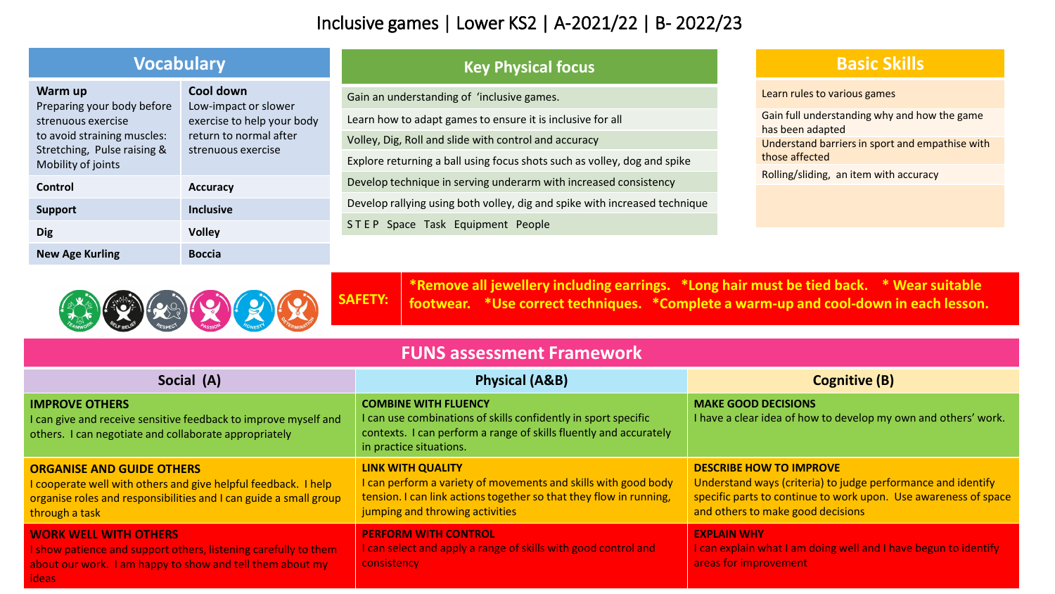## Inclusive games | Lower KS2 | A-2021/22 | B- 2022/23

| <b>Vocabulary</b>                                                                                                         |                                                                                                                 | <b>Key Physical focus</b>                                                                                                                                                                                                                     |
|---------------------------------------------------------------------------------------------------------------------------|-----------------------------------------------------------------------------------------------------------------|-----------------------------------------------------------------------------------------------------------------------------------------------------------------------------------------------------------------------------------------------|
| Warm up<br>Preparing your body before<br>strenuous exercise<br>to avoid straining muscles:<br>Stretching, Pulse raising & | Cool down<br>Low-impact or slower<br>exercise to help your body<br>return to normal after<br>strenuous exercise | Gain an understanding of 'inclusive games.<br>Learn how to adapt games to ensure it is inclusive for all<br>Volley, Dig, Roll and slide with control and accuracy<br>Explore returning a ball using focus shots such as volley, dog and spike |
| Mobility of joints<br>Control                                                                                             | <b>Accuracy</b>                                                                                                 | Develop technique in serving underarm with increased consistency                                                                                                                                                                              |
| Support                                                                                                                   | <b>Inclusive</b>                                                                                                | Develop rallying using both volley, dig and spike with increased technique                                                                                                                                                                    |
| <b>Dig</b>                                                                                                                | <b>Volley</b>                                                                                                   | STEP Space Task Equipment People                                                                                                                                                                                                              |
| <b>New Age Kurling</b>                                                                                                    | <b>Boccia</b>                                                                                                   |                                                                                                                                                                                                                                               |



**\*Remove all jewellery including earrings. \*Long hair must be tied back. \* Wear suitable footwear. \*Use correct techniques. \*Complete a warm-up and cool-down in each lesson.**

| <b>FUNS assessment Framework</b>                                                                                                                                                          |                                                                                                                                                                                                     |                                                                                                                                                                                                        |  |  |
|-------------------------------------------------------------------------------------------------------------------------------------------------------------------------------------------|-----------------------------------------------------------------------------------------------------------------------------------------------------------------------------------------------------|--------------------------------------------------------------------------------------------------------------------------------------------------------------------------------------------------------|--|--|
| Social (A)                                                                                                                                                                                | <b>Physical (A&amp;B)</b>                                                                                                                                                                           | <b>Cognitive (B)</b>                                                                                                                                                                                   |  |  |
| <b>IMPROVE OTHERS</b><br>I can give and receive sensitive feedback to improve myself and<br>others. I can negotiate and collaborate appropriately                                         | <b>COMBINE WITH FLUENCY</b><br>I can use combinations of skills confidently in sport specific<br>contexts. I can perform a range of skills fluently and accurately<br>in practice situations.       | <b>MAKE GOOD DECISIONS</b><br>I have a clear idea of how to develop my own and others' work.                                                                                                           |  |  |
| <b>ORGANISE AND GUIDE OTHERS</b><br>I cooperate well with others and give helpful feedback. I help<br>organise roles and responsibilities and I can guide a small group<br>through a task | <b>LINK WITH QUALITY</b><br>I can perform a variety of movements and skills with good body<br>tension. I can link actions together so that they flow in running,<br>jumping and throwing activities | <b>DESCRIBE HOW TO IMPROVE</b><br>Understand ways (criteria) to judge performance and identify<br>specific parts to continue to work upon. Use awareness of space<br>and others to make good decisions |  |  |
| <b>WORK WELL WITH OTHERS</b><br>I show patience and support others, listening carefully to them<br>about our work. I am happy to show and tell them about my<br><b>ideas</b>              | <b>PERFORM WITH CONTROL</b><br>I can select and apply a range of skills with good control and<br>consistency                                                                                        | <b>EXPLAIN WHY</b><br>I can explain what I am doing well and I have begun to identify<br>areas for improvement                                                                                         |  |  |